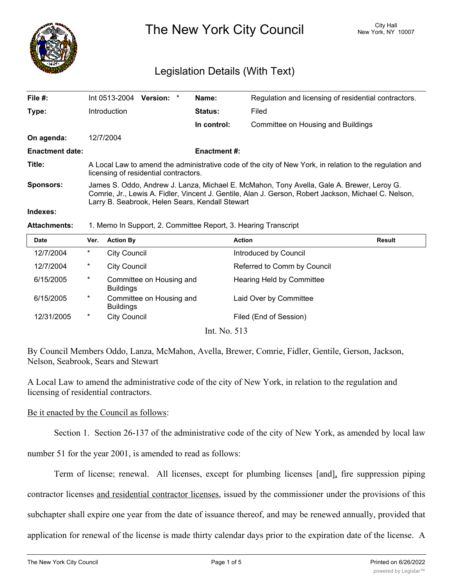

The New York City Council New York, NY 10007

# Legislation Details (With Text)

| File #:                | Int 0513-2004                                                                                                                                                                                                                                        | <b>Version:</b> | $\ast$ | Name:               | Regulation and licensing of residential contractors. |  |
|------------------------|------------------------------------------------------------------------------------------------------------------------------------------------------------------------------------------------------------------------------------------------------|-----------------|--------|---------------------|------------------------------------------------------|--|
| Type:                  | Introduction                                                                                                                                                                                                                                         |                 |        | Status:             | Filed                                                |  |
|                        |                                                                                                                                                                                                                                                      |                 |        | In control:         | Committee on Housing and Buildings                   |  |
| On agenda:             | 12/7/2004                                                                                                                                                                                                                                            |                 |        |                     |                                                      |  |
| <b>Enactment date:</b> |                                                                                                                                                                                                                                                      |                 |        | <b>Enactment #:</b> |                                                      |  |
| Title:                 | A Local Law to amend the administrative code of the city of New York, in relation to the regulation and<br>licensing of residential contractors.                                                                                                     |                 |        |                     |                                                      |  |
| <b>Sponsors:</b>       | James S. Oddo, Andrew J. Lanza, Michael E. McMahon, Tony Avella, Gale A. Brewer, Leroy G.<br>Comrie, Jr., Lewis A. Fidler, Vincent J. Gentile, Alan J. Gerson, Robert Jackson, Michael C. Nelson,<br>Larry B. Seabrook, Helen Sears, Kendall Stewart |                 |        |                     |                                                      |  |
| Indexes:               |                                                                                                                                                                                                                                                      |                 |        |                     |                                                      |  |
|                        |                                                                                                                                                                                                                                                      |                 |        |                     |                                                      |  |

### **Attachments:** 1. Memo In Support, 2. Committee Report, 3. Hearing Transcript

| <b>Date</b> | Ver.   | <b>Action By</b>                             | <b>Action</b>               | <b>Result</b> |
|-------------|--------|----------------------------------------------|-----------------------------|---------------|
| 12/7/2004   | $\ast$ | City Council                                 | Introduced by Council       |               |
| 12/7/2004   | $\ast$ | <b>City Council</b>                          | Referred to Comm by Council |               |
| 6/15/2005   | $\ast$ | Committee on Housing and<br><b>Buildings</b> | Hearing Held by Committee   |               |
| 6/15/2005   | $\ast$ | Committee on Housing and<br><b>Buildings</b> | Laid Over by Committee      |               |
| 12/31/2005  | $\ast$ | <b>City Council</b>                          | Filed (End of Session)      |               |

Int. No. 513

By Council Members Oddo, Lanza, McMahon, Avella, Brewer, Comrie, Fidler, Gentile, Gerson, Jackson, Nelson, Seabrook, Sears and Stewart

A Local Law to amend the administrative code of the city of New York, in relation to the regulation and licensing of residential contractors.

### Be it enacted by the Council as follows:

Section 1. Section 26-137 of the administrative code of the city of New York, as amended by local law

number 51 for the year 2001, is amended to read as follows:

Term of license; renewal. All licenses, except for plumbing licenses [and], fire suppression piping contractor licenses and residential contractor licenses, issued by the commissioner under the provisions of this subchapter shall expire one year from the date of issuance thereof, and may be renewed annually, provided that application for renewal of the license is made thirty calendar days prior to the expiration date of the license. A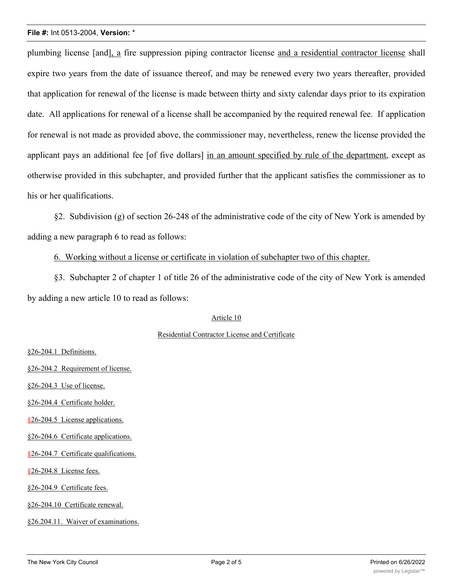#### **File #:** Int 0513-2004, **Version:** \*

plumbing license [and], a fire suppression piping contractor license and a residential contractor license shall expire two years from the date of issuance thereof, and may be renewed every two years thereafter, provided that application for renewal of the license is made between thirty and sixty calendar days prior to its expiration date. All applications for renewal of a license shall be accompanied by the required renewal fee. If application for renewal is not made as provided above, the commissioner may, nevertheless, renew the license provided the applicant pays an additional fee [of five dollars] in an amount specified by rule of the department, except as otherwise provided in this subchapter, and provided further that the applicant satisfies the commissioner as to his or her qualifications.

§2. Subdivision (g) of section 26-248 of the administrative code of the city of New York is amended by adding a new paragraph 6 to read as follows:

## 6. Working without a license or certificate in violation of subchapter two of this chapter.

§3. Subchapter 2 of chapter 1 of title 26 of the administrative code of the city of New York is amended by adding a new article 10 to read as follows:

### Article 10

### Residential Contractor License and Certificate

§26-204.1 Definitions.

- §26-204.2 Requirement of license.
- §26-204.3 Use of license.
- §26-204.4 Certificate holder.
- §26-204.5 License applications.
- §26-204.6 Certificate applications.
- §26-204.7 Certificate qualifications.
- §26-204.8 License fees.
- §26-204.9 Certificate fees.
- §26-204.10 Certificate renewal.
- §26.204.11. Waiver of examinations.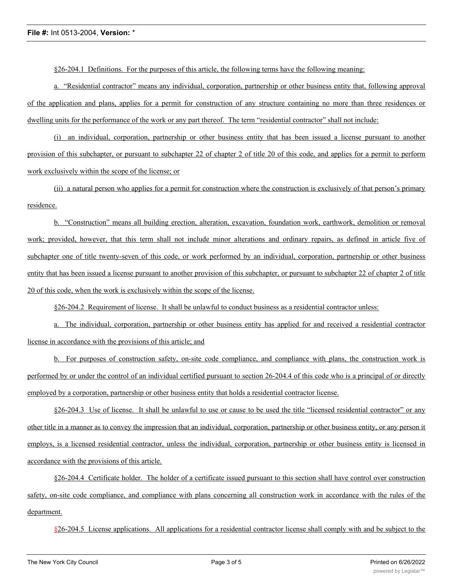§26-204.1 Definitions. For the purposes of this article, the following terms have the following meaning:

a. "Residential contractor" means any individual, corporation, partnership or other business entity that, following approval of the application and plans, applies for a permit for construction of any structure containing no more than three residences or dwelling units for the performance of the work or any part thereof. The term "residential contractor" shall not include:

(i) an individual, corporation, partnership or other business entity that has been issued a license pursuant to another provision of this subchapter, or pursuant to subchapter 22 of chapter 2 of title 20 of this code, and applies for a permit to perform work exclusively within the scope of the license; or

(ii) a natural person who applies for a permit for construction where the construction is exclusively of that person's primary residence.

b. "Construction" means all building erection, alteration, excavation, foundation work, earthwork, demolition or removal work; provided, however, that this term shall not include minor alterations and ordinary repairs, as defined in article five of subchapter one of title twenty-seven of this code, or work performed by an individual, corporation, partnership or other business entity that has been issued a license pursuant to another provision of this subchapter, or pursuant to subchapter 22 of chapter 2 of title 20 of this code, when the work is exclusively within the scope of the license.

§26-204.2 Requirement of license. It shall be unlawful to conduct business as a residential contractor unless:

a. The individual, corporation, partnership or other business entity has applied for and received a residential contractor license in accordance with the provisions of this article; and

b. For purposes of construction safety, on-site code compliance, and compliance with plans, the construction work is performed by or under the control of an individual certified pursuant to section 26-204.4 of this code who is a principal of or directly employed by a corporation, partnership or other business entity that holds a residential contractor license.

§26-204.3 Use of license. It shall be unlawful to use or cause to be used the title "licensed residential contractor" or any other title in a manner as to convey the impression that an individual, corporation, partnership or other business entity, or any person it employs, is a licensed residential contractor, unless the individual, corporation, partnership or other business entity is licensed in accordance with the provisions of this article.

§26-204.4 Certificate holder. The holder of a certificate issued pursuant to this section shall have control over construction safety, on-site code compliance, and compliance with plans concerning all construction work in accordance with the rules of the department.

§26-204.5 License applications. All applications for a residential contractor license shall comply with and be subject to the